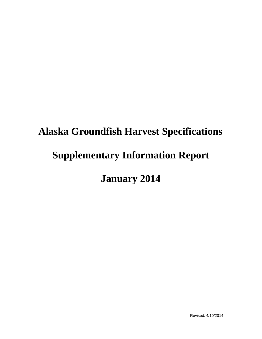# **Alaska Groundfish Harvest Specifications Supplementary Information Report January 2014**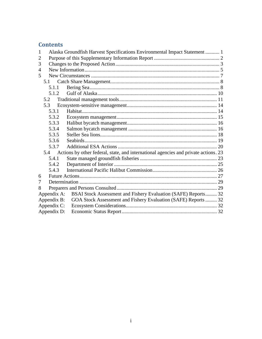## **Contents**

| $\mathbf{1}$   | Alaska Groundfish Harvest Specifications Environmental Impact Statement  1 |  |                                                                                     |  |  |  |  |
|----------------|----------------------------------------------------------------------------|--|-------------------------------------------------------------------------------------|--|--|--|--|
| $\overline{2}$ |                                                                            |  |                                                                                     |  |  |  |  |
| 3              |                                                                            |  |                                                                                     |  |  |  |  |
| $\overline{4}$ |                                                                            |  |                                                                                     |  |  |  |  |
| 5              |                                                                            |  |                                                                                     |  |  |  |  |
|                | 5.1                                                                        |  |                                                                                     |  |  |  |  |
| 5.1.1          |                                                                            |  |                                                                                     |  |  |  |  |
|                | 5.1.2                                                                      |  |                                                                                     |  |  |  |  |
|                | 5.2                                                                        |  |                                                                                     |  |  |  |  |
|                | 5.3                                                                        |  |                                                                                     |  |  |  |  |
|                | 5.3.1                                                                      |  |                                                                                     |  |  |  |  |
| 5.3.2          |                                                                            |  |                                                                                     |  |  |  |  |
|                | 5.3.3                                                                      |  |                                                                                     |  |  |  |  |
|                | 5.3.4                                                                      |  |                                                                                     |  |  |  |  |
| 5.3.5          |                                                                            |  |                                                                                     |  |  |  |  |
| 5.3.6          |                                                                            |  |                                                                                     |  |  |  |  |
|                | 5.3.7                                                                      |  |                                                                                     |  |  |  |  |
|                | 5.4                                                                        |  | Actions by other federal, state, and international agencies and private actions. 23 |  |  |  |  |
|                | 5.4.1                                                                      |  |                                                                                     |  |  |  |  |
|                | 5.4.2                                                                      |  |                                                                                     |  |  |  |  |
|                | 5.4.3                                                                      |  |                                                                                     |  |  |  |  |
| 6              |                                                                            |  |                                                                                     |  |  |  |  |
| 7              |                                                                            |  |                                                                                     |  |  |  |  |
| 8              |                                                                            |  |                                                                                     |  |  |  |  |
|                |                                                                            |  | Appendix A: BSAI Stock Assessment and Fishery Evaluation (SAFE) Reports 32          |  |  |  |  |
| Appendix B:    |                                                                            |  | GOA Stock Assessment and Fishery Evaluation (SAFE) Reports  32                      |  |  |  |  |
| Appendix C:    |                                                                            |  |                                                                                     |  |  |  |  |
| Appendix D:    |                                                                            |  |                                                                                     |  |  |  |  |
|                |                                                                            |  |                                                                                     |  |  |  |  |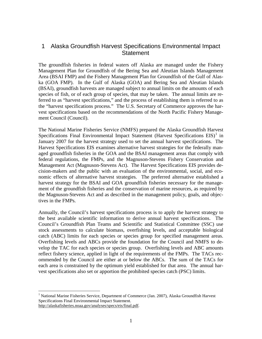#### <span id="page-2-0"></span>1 Alaska Groundfish Harvest Specifications Environmental Impact **Statement**

The groundfish fisheries in federal waters off Alaska are managed under the Fishery Management Plan for Groundfish of the Bering Sea and Aleutian Islands Management Area (BSAI FMP) and the Fishery Management Plan for Groundfish of the Gulf of Alaska (GOA FMP). In the Gulf of Alaska (GOA) and Bering Sea and Aleutian Islands (BSAI), groundfish harvests are managed subject to annual limits on the amounts of each species of fish, or of each group of species, that may be taken. The annual limits are referred to as "harvest specifications," and the process of establishing them is referred to as the "harvest specifications process." The U.S. Secretary of Commerce approves the harvest specifications based on the recommendations of the North Pacific Fishery Management Council (Council).

The National Marine Fisheries Service (NMFS) prepared the Alaska Groundfish Harvest Specifications Final Environmental Impact Statement (Harvest Specifications  $EIS$ )<sup>[1](#page-2-1)</sup> in January 2007 for the harvest strategy used to set the annual harvest specifications. The Harvest Specifications EIS examines alternative harvest strategies for the federally managed groundfish fisheries in the GOA and the BSAI management areas that comply with federal regulations, the FMPs, and the Magnuson-Stevens Fishery Conservation and Management Act (Magnuson-Stevens Act). The Harvest Specifications EIS provides decision-makers and the public with an evaluation of the environmental, social, and economic effects of alternative harvest strategies. The preferred alternative established a harvest strategy for the BSAI and GOA groundfish fisheries necessary for the management of the groundfish fisheries and the conservation of marine resources, as required by the Magnuson-Stevens Act and as described in the management policy, goals, and objectives in the FMPs.

Annually, the Council's harvest specifications process is to apply the harvest strategy to the best available scientific information to derive annual harvest specifications. The Council's Groundfish Plan Teams and Scientific and Statistical Committee (SSC) use stock assessments to calculate biomass, overfishing levels, and acceptable biological catch (ABC) limits for each species or species group for specified management areas. Overfishing levels and ABCs provide the foundation for the Council and NMFS to develop the TAC for each species or species group. Overfishing levels and ABC amounts reflect fishery science, applied in light of the requirements of the FMPs. The TACs recommended by the Council are either at or below the ABCs. The sum of the TACs for each area is constrained by the optimum yield established for that area. The annual harvest specifications also set or apportion the prohibited species catch (PSC) limits.

<span id="page-2-1"></span><sup>&</sup>lt;sup>1</sup> National Marine Fisheries Service, Department of Commerce (Jan. 2007), Alaska Groundfish Harvest Specifications Final Environmental Impact Statement. http://alaskafisheries.noaa.gov/analyses/specs/eis/final.pdf.  $\overline{a}$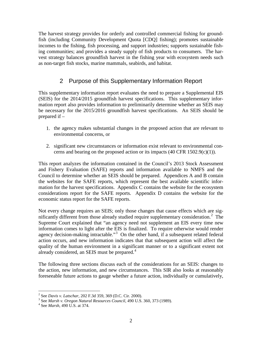The harvest strategy provides for orderly and controlled commercial fishing for groundfish (including Community Development Quota [CDQ] fishing); promotes sustainable incomes to the fishing, fish processing, and support industries; supports sustainable fishing communities; and provides a steady supply of fish products to consumers. The harvest strategy balances groundfish harvest in the fishing year with ecosystem needs such as non-target fish stocks, marine mammals, seabirds, and habitat.

#### 2 Purpose of this Supplementary Information Report

<span id="page-3-0"></span>This supplementary information report evaluates the need to prepare a Supplemental EIS (SEIS) for the 2014/2015 groundfish harvest specifications. This supplementary information report also provides information to preliminarily determine whether an SEIS may be necessary for the 2015/2016 groundfish harvest specifications. An SEIS should be prepared if –

- 1. the agency makes substantial changes in the proposed action that are relevant to environmental concerns, or
- 2. significant new circumstances or information exist relevant to environmental concerns and bearing on the proposed action or its impacts  $(40 \text{ CFR } 1502.9(c)(1))$ .

This report analyzes the information contained in the Council's 2013 Stock Assessment and Fishery Evaluation (SAFE) reports and information available to NMFS and the Council to determine whether an SEIS should be prepared. Appendices A and B contain the websites for the SAFE reports, which represent the best available scientific information for the harvest specifications. Appendix C contains the website for the ecosystem considerations report for the SAFE reports. Appendix D contains the website for the economic status report for the SAFE reports.

Not every change requires an SEIS; only those changes that cause effects which are sig-nificantly different from those already studied require supplementary consideration.<sup>[2](#page-3-1)</sup> The Supreme Court explained that "an agency need not supplement an EIS every time new information comes to light after the EIS is finalized. To require otherwise would render agency decision-making intractable."<sup>[3](#page-3-2)</sup> On the other hand, if a subsequent related federal action occurs, and new information indicates that that subsequent action will affect the quality of the human environment in a significant manner or to a significant extent not already considered, an SEIS must be prepared.<sup>[4](#page-3-3)</sup>

The following three sections discuss each of the considerations for an SEIS: changes to the action, new information, and new circumstances. This SIR also looks at reasonably foreseeable future actions to gauge whether a future action, individually or cumulatively,

<sup>&</sup>lt;sup>2</sup> See Davis v. Latschar, 202 F.3d 359, 369 (D.C. Cir. 2000).

<span id="page-3-2"></span><span id="page-3-1"></span><sup>&</sup>lt;sup>2</sup> See *Davis v. Latischar, 202 F. 102 E.17, 202* (2000). 3 See *Marsh v. Oregon Natural Resources Council*, 490 U.S. 360, 373 (1989). <sup>4</sup> See *Marsh*, 490 U.S. at 374.

<span id="page-3-3"></span>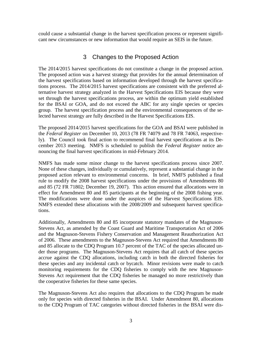could cause a substantial change in the harvest specification process or represent significant new circumstances or new information that would require an SEIS in the future.

#### 3 Changes to the Proposed Action

<span id="page-4-0"></span>The 2014/2015 harvest specifications do not constitute a change in the proposed action. The proposed action was a harvest strategy that provides for the annual determination of the harvest specifications based on information developed through the harvest specifications process. The 2014/2015 harvest specifications are consistent with the preferred alternative harvest strategy analyzed in the Harvest Specifications EIS because they were set through the harvest specifications process, are within the optimum yield established for the BSAI or GOA, and do not exceed the ABC for any single species or species group. The harvest specification process and the environmental consequences of the selected harvest strategy are fully described in the Harvest Specifications EIS.

The proposed 2014/2015 harvest specifications for the GOA and BSAI were published in the *Federal Register* on December 10, 2013 (78 FR 74079 and 78 FR 74063, respectively). The Council took final action to recommend final harvest specifications at its December 2013 meeting. NMFS is scheduled to publish the *Federal Register* notice announcing the final harvest specifications in mid-February 2014.

NMFS has made some minor change to the harvest specifications process since 2007. None of these changes, individually or cumulatively, represent a substantial change in the proposed action relevant to environmental concerns. In brief, NMFS published a final rule to modify the 2008 harvest specifications under the provisions of Amendments 80 and 85 (72 FR 71802; December 19, 2007). This action ensured that allocations were in effect for Amendment 80 and 85 participants at the beginning of the 2008 fishing year. The modifications were done under the auspices of the Harvest Specifications EIS. NMFS extended these allocations with the 2008/2009 and subsequent harvest specifications.

Additionally, Amendments 80 and 85 incorporate statutory mandates of the Magnuson-Stevens Act, as amended by the Coast Guard and Maritime Transportation Act of 2006 and the Magnuson-Stevens Fishery Conservation and Management Reauthorization Act of 2006. These amendments to the Magnuson-Stevens Act required that Amendments 80 and 85 allocate to the CDQ Program 10.7 percent of the TAC of the species allocated under those programs. The Magnuson-Stevens Act requires that all catch of these species accrue against the CDQ allocations, including catch in both the directed fisheries for these species and any incidental catch or bycatch. Minor revisions were made to catch monitoring requirements for the CDQ fisheries to comply with the new Magnuson-Stevens Act requirement that the CDQ fisheries be managed no more restrictively than the cooperative fisheries for these same species.

The Magnuson-Stevens Act also requires that allocations to the CDQ Program be made only for species with directed fisheries in the BSAI. Under Amendment 80, allocations to the CDQ Program of TAC categories without directed fisheries in the BSAI were dis-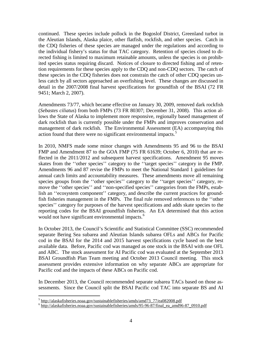continued. These species include pollock in the Bogoslof District, Greenland turbot in the Aleutian Islands, Alaska plaice, other flatfish, rockfish, and other species. Catch in the CDQ fisheries of these species are managed under the regulations and according to the individual fishery's status for that TAC category. Retention of species closed to directed fishing is limited to maximum retainable amounts, unless the species is on prohibited species status requiring discard. Notices of closure to directed fishing and of retention requirements for these species apply to the CDQ and non-CDQ sectors. The catch of these species in the CDQ fisheries does not constrain the catch of other CDQ species unless catch by all sectors approached an overfishing level. These changes are discussed in detail in the 2007/2008 final harvest specifications for groundfish of the BSAI (72 FR 9451; March 2, 2007).

Amendments 73/77, which became effective on January 30, 2009, removed dark rockfish (*Sebastes ciliatus*) from both FMPs (73 FR 80307; December 31, 2008). This action allows the State of Alaska to implement more responsive, regionally based management of dark rockfish than is currently possible under the FMPs and improves conservation and management of dark rockfish. The Environmental Assessment (EA) accompanying this action found that there were no significant environmental impacts.<sup>[5](#page-5-0)</sup>

In 2010, NMFS made some minor changes with Amendments 95 and 96 to the BSAI FMP and Amendment 87 to the GOA FMP (75 FR 61639; October 6, 2010) that are reflected in the 2011/2012 and subsequent harvest specifications. Amendment 95 moves skates from the ''other species'' category to the ''target species'' category in the FMP. Amendments 96 and 87 revise the FMPs to meet the National Standard 1 guidelines for annual catch limits and accountability measures. These amendments move all remaining species groups from the ''other species'' category to the ''target species'' category, remove the ''other species'' and ''non-specified species'' categories from the FMPs, establish an "ecosystem component" category, and describe the current practices for groundfish fisheries management in the FMPs. The final rule removed references to the ''other species'' category for purposes of the harvest specifications and adds skate species to the reporting codes for the BSAI groundfish fisheries. An EA determined that this action would not have significant environmental impacts.<sup>[6](#page-5-1)</sup>

In October 2013, the Council's Scientific and Statistical Committee (SSC) recommended separate Bering Sea subarea and Aleutian Islands subarea OFLs and ABCs for Pacific cod in the BSAI for the 2014 and 2015 harvest specifications cycle based on the best available data. Before, Pacific cod was managed as one stock in the BSAI with one OFL and ABC. The stock assessment for AI Pacific cod was evaluated at the September 2013 BSAI Groundfish Plan Team meeting and October 2013 Council meeting. This stock assessment provides extensive information on why separate ABCs are appropriate for Pacific cod and the impacts of these ABCs on Pacific cod.

In December 2013, the Council recommended separate subarea TACs based on those assessments. Since the Council split the BSAI Pacific cod TAC into separate BS and AI

 $\overline{a}$ 

<span id="page-5-0"></span><sup>&</sup>lt;sup>5</sup> http://alaskafisheries.noaa.gov/sustainablefisheries/amds/amd73\_77/ea082008.pdf

<span id="page-5-1"></span><sup>6</sup> http://alaskafisheries.noaa.gov/sustainablefisheries/amds/95-96-87/final\_ea\_amd96-87\_0910.pdf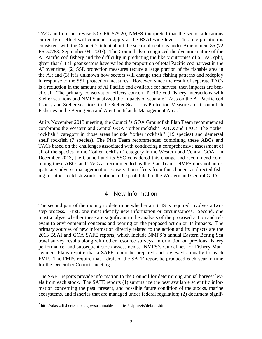TACs and did not revise 50 CFR 679.20, NMFS interpreted that the sector allocations currently in effect will continue to apply at the BSAI-wide level. This interpretation is consistent with the Council's intent about the sector allocations under Amendment 85 (72 FR 50788; September 04, 2007). The Council also recognized the dynamic nature of the AI Pacific cod fishery and the difficulty in predicting the likely outcomes of a TAC split, given that (1) all gear sectors have varied the proportion of total Pacific cod harvest in the AI over time; (2) SSL protection measures reduce a large portion of the fishable area in the AI; and (3) it is unknown how sectors will change their fishing patterns and redeploy in response to the SSL protection measures. However, since the result of separate TACs is a reduction in the amount of AI Pacific cod available for harvest, then impacts are beneficial. The primary conservation effects concern Pacific cod fishery interactions with Steller sea lions and NMFS analyzed the impacts of separate TACs on the AI Pacific cod fishery and Steller sea lions in the Steller Sea Lions Protection Measures for Groundfish Fisheries in the Bering Sea and Aleutian Islands Management Area.<sup>[7](#page-6-1)</sup>

At its November 2013 meeting, the Council's GOA Groundfish Plan Team recommended combining the Western and Central GOA ''other rockfish'' ABCs and TACs. The ''other rockfish'' category in those areas include ''other rockfish'' (19 species) and demersal shelf rockfish (7 species). The Plan Team recommended combining these ABCs and TACs based on the challenges associated with conducting a comprehensive assessment of all of the species in the ''other rockfish'' category in the Western and Central GOA. In December 2013, the Council and its SSC considered this change and recommend combining these ABCs and TACs as recommended by the Plan Team. NMFS does not anticipate any adverse management or conservation effects from this change, as directed fishing for other rockfish would continue to be prohibited in the Western and Central GOA.

#### 4 New Information

<span id="page-6-0"></span>The second part of the inquiry to determine whether an SEIS is required involves a twostep process. First, one must identify new information or circumstances. Second, one must analyze whether these are significant to the analysis of the proposed action and relevant to environmental concerns and bearing on the proposed action or its impacts. The primary sources of new information directly related to the action and its impacts are the 2013 BSAI and GOA SAFE reports, which include NMFS's annual Eastern Bering Sea trawl survey results along with other resource surveys, information on previous fishery performance, and subsequent stock assessments. NMFS's Guidelines for Fishery Management Plans require that a SAFE report be prepared and reviewed annually for each FMP. The FMPs require that a draft of the SAFE report be produced each year in time for the December Council meeting.

The SAFE reports provide information to the Council for determining annual harvest levels from each stock. The SAFE reports (1) summarize the best available scientific information concerning the past, present, and possible future condition of the stocks, marine ecosystems, and fisheries that are managed under federal regulation; (2) document signif-

 $\overline{a}$ 

<span id="page-6-1"></span><sup>7</sup> http://alaskafisheries.noaa.gov/sustainablefisheries/sslpm/eis/default.htm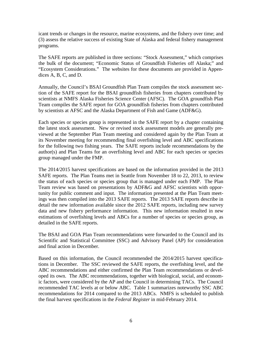icant trends or changes in the resource, marine ecosystems, and the fishery over time; and (3) assess the relative success of existing State of Alaska and federal fishery management programs.

The SAFE reports are published in three sections: "Stock Assessment," which comprises the bulk of the document; "Economic Status of Groundfish Fisheries off Alaska;" and "Ecosystem Considerations." The websites for these documents are provided in Appendices A, B, C, and D.

Annually, the Council's BSAI Groundfish Plan Team compiles the stock assessment section of the SAFE report for the BSAI groundfish fisheries from chapters contributed by scientists at NMFS Alaska Fisheries Science Center (AFSC). The GOA groundfish Plan Team compiles the SAFE report for GOA groundfish fisheries from chapters contributed by scientists at AFSC and the Alaska Department of Fish and Game (ADF&G).

Each species or species group is represented in the SAFE report by a chapter containing the latest stock assessment. New or revised stock assessment models are generally previewed at the September Plan Team meeting and considered again by the Plan Team at its November meeting for recommending final overfishing level and ABC specifications for the following two fishing years. The SAFE reports include recommendations by the author(s) and Plan Teams for an overfishing level and ABC for each species or species group managed under the FMP.

The 2014/2015 harvest specifications are based on the information provided in the 2013 SAFE reports. The Plan Teams met in Seattle from November 18 to 22, 2013, to review the status of each species or species group that is managed under each FMP. The Plan Team review was based on presentations by ADF&G and AFSC scientists with opportunity for public comment and input. The information presented at the Plan Team meetings was then compiled into the 2013 SAFE reports. The 2013 SAFE reports describe in detail the new information available since the 2012 SAFE reports, including new survey data and new fishery performance information. This new information resulted in new estimations of overfishing levels and ABCs for a number of species or species group, as detailed in the SAFE reports.

The BSAI and GOA Plan Team recommendations were forwarded to the Council and its Scientific and Statistical Committee (SSC) and Advisory Panel (AP) for consideration and final action in December.

Based on this information, the Council recommended the 2014/2015 harvest specifications in December. The SSC reviewed the SAFE reports, the overfishing level, and the ABC recommendations and either confirmed the Plan Team recommendations or developed its own. The ABC recommendations, together with biological, social, and economic factors, were considered by the AP and the Council in determining TACs. The Council recommended TAC levels at or below ABC. Table 1 summarizes noteworthy SSC ABC recommendations for 2014 compared to the 2013 ABCs. NMFS is scheduled to publish the final harvest specifications in the *Federal Register* in mid-February 2014.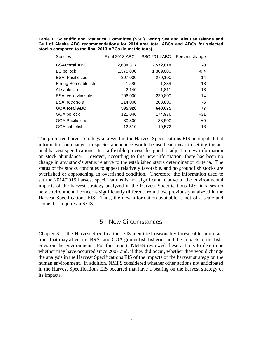**Table 1 Scientific and Statistical Committee (SSC) Bering Sea and Aleutian Islands and Gulf of Alaska ABC recommendations for 2014 area total ABCs and ABCs for selected stocks compared to the final 2013 ABCs (in metric tons).** 

| <b>Species</b>             | Final 2013 ABC |           | SSC 2014 ABC Percent change |
|----------------------------|----------------|-----------|-----------------------------|
| <b>BSAI total ABC</b>      | 2,639,317      | 2,572,819 | -3                          |
| <b>BS</b> pollock          | 1,375,000      | 1,369,000 | $-0.4$                      |
| <b>BSAI Pacific cod</b>    | 307,000        | 270,100   | $-14$                       |
| Bering Sea sablefish       | 1,580          | 1,339     | -18                         |
| AI sablefish               | 2,140          | 1,811     | -18                         |
| <b>BSAI</b> yellowfin sole | 206,000        | 239,800   | $+14$                       |
| <b>BSAI</b> rock sole      | 214,000        | 203,800   | $-5$                        |
| <b>GOA total ABC</b>       | 595,920        | 640,675   | $+7$                        |
| GOA pollock                | 121,046        | 174,976   | $+31$                       |
| GOA Pacific cod            | 80,800         | 88,500    | $+9$                        |
| GOA sablefish              | 12,510         | 10,572    | $-18$                       |

The preferred harvest strategy analyzed in the Harvest Specifications EIS anticipated that information on changes in species abundance would be used each year in setting the annual harvest specifications. It is a flexible process designed to adjust to new information on stock abundance. However, according to this new information, there has been no change in any stock's status relative to the established status determination criteria. The status of the stocks continues to appear relatively favorable, and no groundfish stocks are overfished or approaching an overfished condition. Therefore, the information used to set the 2014/2015 harvest specifications is not significant relative to the environmental impacts of the harvest strategy analyzed in the Harvest Specifications EIS: it raises no new environmental concerns significantly different from those previously analyzed in the Harvest Specifications EIS. Thus, the new information available is not of a scale and scope that require an SEIS.

#### 5 New Circumstances

<span id="page-8-0"></span>Chapter 3 of the Harvest Specifications EIS identified reasonably foreseeable future actions that may affect the BSAI and GOA groundfish fisheries and the impacts of the fisheries on the environment. For this report, NMFS reviewed these actions to determine whether they have occurred since 2007 and, if they did occur, whether they would change the analysis in the Harvest Specifications EIS of the impacts of the harvest strategy on the human environment. In addition, NMFS considered whether other actions not anticipated in the Harvest Specifications EIS occurred that have a bearing on the harvest strategy or its impacts.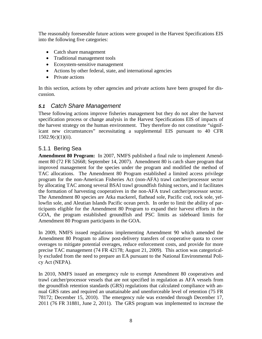The reasonably foreseeable future actions were grouped in the Harvest Specifications EIS into the following five categories:

- Catch share management
- Traditional management tools
- Ecosystem-sensitive management
- Actions by other federal, state, and international agencies
- Private actions

In this section, actions by other agencies and private actions have been grouped for discussion.

#### <span id="page-9-0"></span>*5.1 Catch Share Management*

These following actions improve fisheries management but they do not alter the harvest specification process or change analysis in the Harvest Specifications EIS of impacts of the harvest strategy on the human environment. They therefore do not constitute "significant new circumstances" necessitating a supplemental EIS pursuant to 40 CFR  $1502.9(c)(1)(ii)$ .

#### <span id="page-9-1"></span>5.1.1 Bering Sea

**Amendment 80 Program:** In 2007, NMFS published a final rule to implement Amendment 80 (72 FR 52668; September 14, 2007). Amendment 80 is catch share program that improved management for the species under the program and modified the method of TAC allocations. The Amendment 80 Program established a limited access privilege program for the non-American Fisheries Act (non-AFA) trawl catcher/processor sector by allocating TAC among several BSAI trawl groundfish fishing sectors, and it facilitates the formation of harvesting cooperatives in the non-AFA trawl catcher/processor sector. The Amendment 80 species are Atka mackerel, flathead sole, Pacific cod, rock sole, yellowfin sole, and Aleutian Islands Pacific ocean perch. In order to limit the ability of participants eligible for the Amendment 80 Program to expand their harvest efforts in the GOA, the program established groundfish and PSC limits as sideboard limits for Amendment 80 Program participants in the GOA.

In 2009, NMFS issued regulations implementing Amendment 90 which amended the Amendment 80 Program to allow post-delivery transfers of cooperative quota to cover overages to mitigate potential overages, reduce enforcement costs, and provide for more precise TAC management (74 FR 42178; August 21, 2009). This action was categorically excluded from the need to prepare an EA pursuant to the National Environmental Policy Act (NEPA).

In 2010, NMFS issued an emergency rule to exempt Amendment 80 cooperatives and trawl catcher/processor vessels that are not specified in regulation as AFA vessels from the groundfish retention standards (GRS) regulations that calculated compliance with annual GRS rates and required an unattainable and unenforceable level of retention (75 FR 78172; December 15, 2010). The emergency rule was extended through December 17, 2011 (76 FR 31881, June 2, 2011). The GRS program was implemented to increase the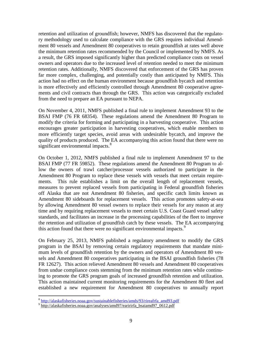retention and utilization of groundfish; however, NMFS has discovered that the regulatory methodology used to calculate compliance with the GRS requires individual Amendment 80 vessels and Amendment 80 cooperatives to retain groundfish at rates well above the minimum retention rates recommended by the Council or implemented by NMFS. As a result, the GRS imposed significantly higher than predicted compliance costs on vessel owners and operators due to the increased level of retention needed to meet the minimum retention rates. Additionally, NMFS discovered that enforcement of the GRS has proven far more complex, challenging, and potentially costly than anticipated by NMFS. This action had no effect on the human environment because groundfish bycatch and retention is more effectively and efficiently controlled through Amendment 80 cooperative agreements and civil contracts than through the GRS. This action was categorically excluded from the need to prepare an EA pursuant to NEPA.

On November 4, 2011, NMFS published a final rule to implement Amendment 93 to the BSAI FMP (76 FR 68354). These regulations amend the Amendment 80 Program to modify the criteria for forming and participating in a harvesting cooperative. This action encourages greater participation in harvesting cooperatives, which enable members to more efficiently target species, avoid areas with undesirable bycatch, and improve the quality of products produced. The EA accompanying this action found that there were no significant environmental impacts.<sup>[8](#page-10-0)</sup>

On October 1, 2012, NMFS published a final rule to implement Amendment 97 to the BSAI FMP (77 FR 59852). These regulations amend the Amendment 80 Program to allow the owners of trawl catcher/processor vessels authorized to participate in the Amendment 80 Program to replace these vessels with vessels that meet certain requirements. This rule establishes a limit on the overall length of replacement vessels, measures to prevent replaced vessels from participating in Federal groundfish fisheries off Alaska that are not Amendment 80 fisheries, and specific catch limits known as Amendment 80 sideboards for replacement vessels. This action promotes safety-at-sea by allowing Amendment 80 vessel owners to replace their vessels for any reason at any time and by requiring replacement vessels to meet certain U.S. Coast Guard vessel safety standards, and facilitates an increase in the processing capabilities of the fleet to improve the retention and utilization of groundfish catch by these vessels. The EA accompanying this action found that there were no significant environmental impacts.<sup>[9](#page-10-1)</sup>

On February 25, 2013, NMFS published a regulatory amendment to modify the GRS program in the BSAI by removing certain regulatory requirements that mandate minimum levels of groundfish retention by the owners and operators of Amendment 80 vessels and Amendment 80 cooperatives participating in the BSAI groundfish fisheries (78 FR 12627). This action relieved Amendment 80 vessels and Amendment 80 cooperatives from undue compliance costs stemming from the minimum retention rates while continuing to promote the GRS program goals of increased groundfish retention and utilization. This action maintained current monitoring requirements for the Amendment 80 fleet and established a new requirement for Amendment 80 cooperatives to annually report

<sup>&</sup>lt;sup>8</sup> [http://alaskafisheries.noaa.gov/sustainablefisheries/amds/93/rireafrfa\\_amd93.pdf](http://alaskafisheries.noaa.gov/sustainablefisheries/amds/93/rireafrfa_amd93.pdf)  $\overline{a}$ 

<span id="page-10-1"></span><span id="page-10-0"></span><sup>&</sup>lt;sup>9</sup> http://alaskafisheries.noaa.gov/analyses/amd97/earirirfa\_bsaiamd97\_0612.pdf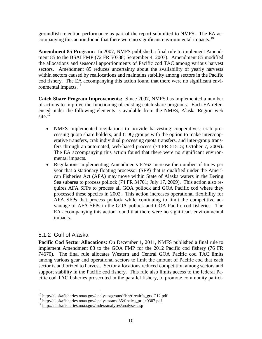groundfish retention performance as part of the report submitted to NMFS. The EA ac-companying this action found that there were no significant environmental impacts.<sup>[10](#page-11-1)</sup>

**Amendment 85 Program:** In 2007, NMFS published a final rule to implement Amendment 85 to the BSAI FMP (72 FR 50788; September 4, 2007). Amendment 85 modified the allocations and seasonal apportionments of Pacific cod TAC among various harvest sectors. Amendment 85 reduces uncertainty about the availability of yearly harvests within sectors caused by reallocations and maintains stability among sectors in the Pacific cod fishery. The EA accompanying this action found that there were no significant envi-ronmental impacts.<sup>[11](#page-11-2)</sup>

**Catch Share Program Improvements:** Since 2007, NMFS has implemented a number of actions to improve the functioning of existing catch share programs. Each EA referenced under the following elements is available from the NMFS, Alaska Region web site. $^{12}$  $^{12}$  $^{12}$ 

- NMFS implemented regulations to provide harvesting cooperatives, crab processing quota share holders, and CDQ groups with the option to make intercooperative transfers, crab individual processing quota transfers, and inter-group transfers through an automated, web-based process (74 FR 51515; October 7, 2009). The EA accompanying this action found that there were no significant environmental impacts.
- Regulations implementing Amendments 62/62 increase the number of times per year that a stationary floating processor (SFP) that is qualified under the American Fisheries Act (AFA) may move within State of Alaska waters in the Bering Sea subarea to process pollock (74 FR 34701; July 17, 2009). This action also requires AFA SFPs to process all GOA pollock and GOA Pacific cod where they processed these species in 2002. This action increases operational flexibility for AFA SFPs that process pollock while continuing to limit the competitive advantage of AFA SFPs in the GOA pollock and GOA Pacific cod fisheries. The EA accompanying this action found that there were no significant environmental impacts.

#### <span id="page-11-0"></span>5.1.2 Gulf of Alaska

**Pacific Cod Sector Allocations:** On December 1, 2011, NMFS published a final rule to implement Amendment 83 to the GOA FMP for the 2012 Pacific cod fishery (76 FR 74670). The final rule allocates Western and Central GOA Pacific cod TAC limits among various gear and operational sectors to limit the amount of Pacific cod that each sector is authorized to harvest. Sector allocations reduced competition among sectors and support stability in the Pacific cod fishery. This rule also limits access to the federal Pacific cod TAC fisheries prosecuted in the parallel fishery, to promote community partici-

 $^{10}$  http://alaskafisheries.noaa.gov/analyses/groundfish/rireairfa grs1212.pdf

<span id="page-11-3"></span><span id="page-11-2"></span><span id="page-11-1"></span><sup>&</sup>lt;sup>11</sup> http://alaskafisheries.noaa.gov/analyses/amd85/finalea\_prule0307.pdf<br><sup>12</sup> http://alaskafisheries.noaa.gov/index/analyses/analyses.asp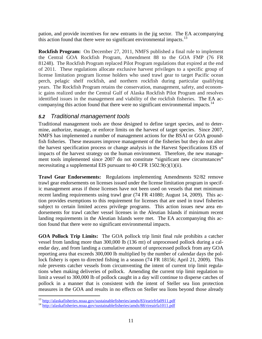pation, and provide incentives for new entrants in the jig sector. The EA accompanying this action found that there were no significant environmental impacts.<sup>[13](#page-12-1)</sup>

**Rockfish Program:** On December 27, 2011, NMFS published a final rule to implement the Central GOA Rockfish Program, Amendment 88 to the GOA FMP (76 FR 81248). The Rockfish Program replaced Pilot Program regulations that expired at the end of 2011. These regulations allocate exclusive harvest privileges to a specific group of license limitation program license holders who used trawl gear to target Pacific ocean perch, pelagic shelf rockfish, and northern rockfish during particular qualifying years. The Rockfish Program retains the conservation, management, safety, and economic gains realized under the Central Gulf of Alaska Rockfish Pilot Program and resolves identified issues in the management and viability of the rockfish fisheries. The EA ac-companying this action found that there were no significant environmental impacts.<sup>[14](#page-12-2)</sup>

#### <span id="page-12-0"></span>*5.2 Traditional management tools*

Traditional management tools are those designed to define target species, and to determine, authorize, manage, or enforce limits on the harvest of target species. Since 2007, NMFS has implemented a number of management actions for the BSAI or GOA groundfish fisheries. These measures improve management of the fisheries but they do not alter the harvest specification process or change analysis in the Harvest Specifications EIS of impacts of the harvest strategy on the human environment. Therefore, the new management tools implemented since 2007 do not constitute "significant new circumstances" necessitating a supplemental EIS pursuant to 40 CFR 1502.9(c)(1)(ii).

**Trawl Gear Endorsements:** Regulations implementing Amendments 92/82 remove trawl gear endorsements on licenses issued under the license limitation program in specific management areas if those licenses have not been used on vessels that met minimum recent landing requirements using trawl gear (74 FR 41080; August 14, 2009). This action provides exemptions to this requirement for licenses that are used in trawl fisheries subject to certain limited access privilege programs. This action issues new area endorsements for trawl catcher vessel licenses in the Aleutian Islands if minimum recent landing requirements in the Aleutian Islands were met. The EA accompanying this action found that there were no significant environmental impacts.

**GOA Pollock Trip Limits:** The GOA pollock trip limit final rule prohibits a catcher vessel from landing more than 300,000 lb (136 mt) of unprocessed pollock during a calendar day, and from landing a cumulative amount of unprocessed pollock from any GOA reporting area that exceeds 300,000 lb multiplied by the number of calendar days the pollock fishery is open to directed fishing in a season (74 FR 18156; April 21, 2009). This rule prevents catcher vessels from circumventing the intent of current trip limit regulations when making deliveries of pollock. Amending the current trip limit regulation to limit a vessel to 300,000 lb of pollock caught in a day will continue to disperse catches of pollock in a manner that is consistent with the intent of Steller sea lion protection measures in the GOA and results in no effects on Steller sea lions beyond those already

<span id="page-12-1"></span><sup>&</sup>lt;sup>13</sup> http://alaskafisheries.noaa.gov/sustainablefisheries/amds/83/earirfrfa0911.pdf

<span id="page-12-2"></span><sup>&</sup>lt;sup>14</sup> <http://alaskafisheries.noaa.gov/sustainablefisheries/amds/88/rireairfa1011.pdf>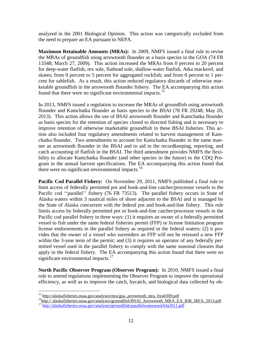analyzed in the 2001 Biological Opinion. This action was categorically excluded from the need to prepare an EA pursuant to NEPA.

**Maximum Retainable Amounts (MRAs):** In 2009, NMFS issued a final rule to revise the MRAs of groundfish using arrowtooth flounder as a basis species in the GOA (74 FR 13348; March 27, 2009). This action increased the MRAs from 0 percent to 20 percent for deep-water flatfish, rex sole, flathead sole, shallow-water flatfish, Atka mackerel, and skates; from 0 percent to 5 percent for aggregated rockfish; and from 0 percent to 1 percent for sablefish. As a result, this action reduced regulatory discards of otherwise marketable groundfish in the arrowtooth flounder fishery. The EA accompanying this action found that there were no significant environmental impacts.<sup>[15](#page-13-0)</sup>

In 2013, NMFS issued a regulation to increase the MRAs of groundfish using arrowtooth flounder and Kamchatka flounder as basis species in the BSAI (78 FR 29248; May 20, 2013). This action allows the use of BSAI arrowtooth flounder and Kamchatka flounder as basis species for the retention of species closed to directed fishing and is necessary to improve retention of otherwise marketable groundfish in these BSAI fisheries. This action also included four regulatory amendments related to harvest management of Kamchatka flounder. Two amendments to account for Kamchatka flounder in the same manner as arrowtooth flounder in the BSAI and to aid in the recordkeeping, reporting, and catch accounting of flatfish in the BSAI. The third amendment provides NMFS the flexibility to allocate Kamchatka flounder (and other species in the future) to the CDQ Program in the annual harvest specifications. The EA accompanying this action found that there were no significant environmental impacts.<sup>[16](#page-13-1)</sup>

**Pacific Cod Parallel Fishery:** On November 29, 2011, NMFS published a final rule to limit access of federally permitted pot and hook-and-line catcher/processor vessels to the Pacific cod "parallel" fishery (76 FR 73513). The parallel fishery occurs in State of Alaska waters within 3 nautical miles of shore adjacent to the BSAI and is managed by the State of Alaska concurrent with the federal pot and hook-and-line fishery. This rule limits access by federally permitted pot or hook-and-line catcher/processor vessels in the Pacific cod parallel fishery in three ways: (1) it requires an owner of a federally permitted vessel to fish under the same federal fisheries permit (FFP) or license limitation program license endorsements in the parallel fishery as required in the federal waters; (2) it provides that the owner of a vessel who surrenders an FFP will not be reissued a new FFP within the 3-year term of the permit; and (3) it requires an operator of any federally permitted vessel used in the parallel fishery to comply with the same seasonal closures that apply in the federal fishery. The EA accompanying this action found that there were no significant environmental impacts.<sup>[17](#page-13-2)</sup>

**North Pacific Observer Program (Observer Program):** In 2010, NMFS issued a final rule to amend regulations implementing the Observer Program to improve the operational efficiency, as well as to improve the catch, bycatch, and biological data collected by ob-

<span id="page-13-0"></span> $15$  http://alaskafisheries.noaa.gov/analyses/mra/goa arrowtooth mra frea0309.pdf

<span id="page-13-2"></span><span id="page-13-1"></span> $^{16}$ http://alaskafisheries.noaa.gov/analyses/groundfish/BSAI Arrowtooth MRA EA RIR IRFA 2013.pdf<br> $^{17}$ <http://alaskafisheries.noaa.gov/analyses/groundfish/parallelwatersearirfrfa2011.pdf>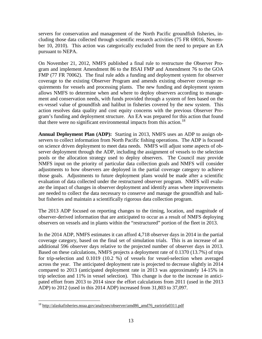servers for conservation and management of the North Pacific groundfish fisheries, including those data collected through scientific research activities (75 FR 69016, November 10, 2010). This action was categorically excluded from the need to prepare an EA pursuant to NEPA.

On November 21, 2012, NMFS published a final rule to restructure the Observer Program and implement Amendment 86 to the BSAI FMP and Amendment 76 to the GOA FMP (77 FR 70062). The final rule adds a funding and deployment system for observer coverage to the existing Observer Program and amends existing observer coverage requirements for vessels and processing plants. The new funding and deployment system allows NMFS to determine when and where to deploy observers according to management and conservation needs, with funds provided through a system of fees based on the ex-vessel value of groundfish and halibut in fisheries covered by the new system. This action resolves data quality and cost equity concerns with the previous Observer Program's funding and deployment structure. An EA was prepared for this action that found that there were no significant environmental impacts from this action.<sup>[18](#page-14-0)</sup>

**Annual Deployment Plan (ADP):** Starting in 2013, NMFS uses an ADP to assign observers to collect information from North Pacific fishing operations. The ADP is focused on science driven deployment to meet data needs. NMFS will adjust some aspects of observer deployment through the ADP, including the assignment of vessels to the selection pools or the allocation strategy used to deploy observers. The Council may provide NMFS input on the priority of particular data collection goals and NMFS will consider adjustments to how observers are deployed in the partial coverage category to achieve those goals. Adjustments to future deployment plans would be made after a scientific evaluation of data collected under the restructured observer program. NMFS will evaluate the impact of changes in observer deployment and identify areas where improvements are needed to collect the data necessary to conserve and manage the groundfish and halibut fisheries and maintain a scientifically rigorous data collection program.

The 2013 ADP focused on reporting changes to the timing, location, and magnitude of observer-derived information that are anticipated to occur as a result of NMFS deploying observers on vessels and in plants within the "restructured" portion of the fleet in 2013.

In the 2014 ADP, NMFS estimates it can afford 4,718 observer days in 2014 in the partial coverage category, based on the final set of simulation trials. This is an increase of an additional 596 observer days relative to the projected number of observer days in 2013. Based on these calculations, NMFS projects a deployment rate of 0.1370 (13.7%) of trips for trip-selection and 0.1019 (10.2 %) of vessels for vessel-selection when averaged across the year. The anticipated deployment rate is projected to decrease slightly in 2014 compared to 2013 (anticipated deployment rate in 2013 was approximately 14-15% in trip selection and 11% in vessel selection). This change is due to the increase in anticipated effort from 2013 to 2014 since the effort calculations from 2011 (used in the 2013 ADP) to 2012 (used in this 2014 ADP) increased from 31,803 to 37,097.

 $\overline{a}$ 

<span id="page-14-0"></span><sup>&</sup>lt;sup>18</sup> http://alaskafisheries.noaa.gov/analyses/observer/amd86\_amd76\_earirirfa0311.pdf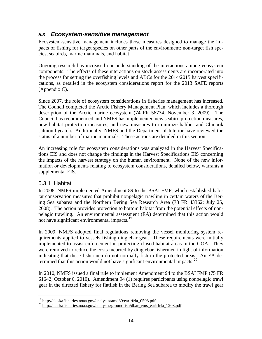#### <span id="page-15-0"></span>*5.3 Ecosystem-sensitive management*

Ecosystem-sensitive management includes those measures designed to manage the impacts of fishing for target species on other parts of the environment: non-target fish species, seabirds, marine mammals, and habitat.

Ongoing research has increased our understanding of the interactions among ecosystem components. The effects of these interactions on stock assessments are incorporated into the process for setting the overfishing levels and ABCs for the 2014/2015 harvest specifications, as detailed in the ecosystem considerations report for the 2013 SAFE reports (Appendix C).

Since 2007, the role of ecosystem considerations in fisheries management has increased. The Council completed the Arctic Fishery Management Plan, which includes a thorough description of the Arctic marine ecosystem (74 FR 56734, November 3, 2009). The Council has recommended and NMFS has implemented new seabird protection measures, new habitat protection measures, and new measures to minimize halibut and Chinook salmon bycatch. Additionally, NMFS and the Department of Interior have reviewed the status of a number of marine mammals. These actions are detailed in this section.

An increasing role for ecosystem considerations was analyzed in the Harvest Specifications EIS and does not change the findings in the Harvest Specifications EIS concerning the impacts of the harvest strategy on the human environment. None of the new information or developments relating to ecosystem considerations, detailed below, warrants a supplemental EIS.

#### <span id="page-15-1"></span>5.3.1 Habitat

not have significant environmental impacts.<sup>[19](#page-15-2)</sup> In 2008, NMFS implemented Amendment 89 to the BSAI FMP, which established habitat conservation measures that prohibit nonpelagic trawling in certain waters of the Bering Sea subarea and the Northern Bering Sea Research Area (73 FR 43362; July 25, 2008). The action provides protection to bottom habitat from the potential effects of nonpelagic trawling. An environmental assessment (EA) determined that this action would

In 2009, NMFS adopted final regulations removing the vessel monitoring system requirements applied to vessels fishing dinglebar gear. These requirements were initially implemented to assist enforcement in protecting closed habitat areas in the GOA. They were removed to reduce the costs incurred by dinglebar fishermen in light of information indicating that these fishermen do not normally fish in the protected areas. An EA determined that this action would not have significant environmental impacts. $20$ 

In 2010, NMFS issued a final rule to implement Amendment 94 to the BSAI FMP (75 FR 61642; October 6, 2010). Amendment 94 (1) requires participants using nonpelagic trawl gear in the directed fishery for flatfish in the Bering Sea subarea to modify the trawl gear

<span id="page-15-2"></span> $^{19}$  http://alaskafisheries.noaa.gov/analyses/amd89/earirfrfa 0508.pdf

<span id="page-15-3"></span><sup>&</sup>lt;sup>20</sup> http://alaskafisheries.noaa.gov/analyses/groundfish/dbar\_vms\_earirfrfa\_1208.pdf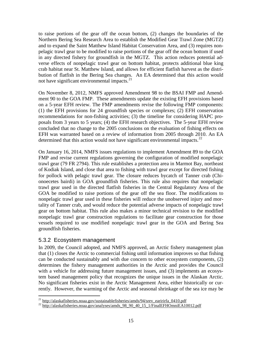to raise portions of the gear off the ocean bottom, (2) changes the boundaries of the Northern Bering Sea Research Area to establish the Modified Gear Trawl Zone (MGTZ) and to expand the Saint Matthew Island Habitat Conservation Area, and (3) requires nonpelagic trawl gear to be modified to raise portions of the gear off the ocean bottom if used in any directed fishery for groundfish in the MGTZ. This action reduces potential adverse effects of nonpelagic trawl gear on bottom habitat, protects additional blue king crab habitat near St. Matthew Island, and allows for efficient flatfish harvest as the distribution of flatfish in the Bering Sea changes. An EA determined that this action would not have significant environmental impacts.<sup>[21](#page-16-1)</sup>

On November 8, 2012, NMFS approved Amendment 98 to the BSAI FMP and Amendment 90 to the GOA FMP. These amendments update the existing EFH provisions based on a 5-year EFH review. The FMP amendments revise the following FMP components: (1) the EFH provisions for 24 groundfish species or complexes; (2) EFH conservation recommendations for non-fishing activities; (3) the timeline for considering HAPC proposals from 3 years to 5 years; (4) the EFH research objectives. The 5-year EFH review concluded that no change to the 2005 conclusions on the evaluation of fishing effects on EFH was warranted based on a review of information from 2005 through 2010. An EA determined that this action would not have significant environmental impacts.<sup>[22](#page-16-2)</sup>

On January 16, 2014, NMFS issues regulations to implement Amendment 89 to the GOA FMP and revise current regulations governing the configuration of modified nonpelagic trawl gear (79 FR 2794). This rule establishes a protection area in Marmot Bay, northeast of Kodiak Island, and close that area to fishing with trawl gear except for directed fishing for pollock with pelagic trawl gear. The closure reduces bycatch of Tanner crab (Chionoecetes bairdi) in GOA groundfish fisheries. This rule also requires that nonpelagic trawl gear used in the directed flatfish fisheries in the Central Regulatory Area of the GOA be modified to raise portions of the gear off the sea floor. The modifications to nonpelagic trawl gear used in these fisheries will reduce the unobserved injury and mortality of Tanner crab, and would reduce the potential adverse impacts of nonpelagic trawl gear on bottom habitat. This rule also makes a minor technical revision to the modified nonpelagic trawl gear construction regulations to facilitate gear construction for those vessels required to use modified nonpelagic trawl gear in the GOA and Bering Sea groundfish fisheries.

#### <span id="page-16-0"></span>5.3.2 Ecosystem management

In 2009, the Council adopted, and NMFS approved, an Arctic fishery management plan that (1) closes the Arctic to commercial fishing until information improves so that fishing can be conducted sustainably and with due concern to other ecosystem components, (2) determines the fishery management authorities in the Arctic and provides the Council with a vehicle for addressing future management issues, and (3) implements an ecosystem based management policy that recognizes the unique issues in the Alaskan Arctic. No significant fisheries exist in the Arctic Management Area, either historically or currently. However, the warming of the Arctic and seasonal shrinkage of the sea ice may be

<span id="page-16-1"></span> $^{21}$  http://alaskafisheries.noaa.gov/sustainablefisheries/amds/94/srev earirirfa 0410.pdf

<span id="page-16-2"></span> $22 \frac{\text{http://alaskafisheries.noaa.gov/analyses/amds}_98/90_40_15_1/FinalEFHOmniEA10012.pdf}{\text{http://alaskafisheries.noaa.gov/analyses/amds}_98/90_40_15_1/FinalEFHOmniEA10012.pdf}$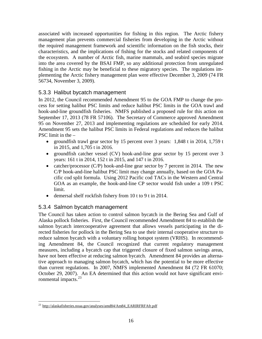associated with increased opportunities for fishing in this region. The Arctic fishery management plan prevents commercial fisheries from developing in the Arctic without the required management framework and scientific information on the fish stocks, their characteristics, and the implications of fishing for the stocks and related components of the ecosystem. A number of Arctic fish, marine mammals, and seabird species migrate into the area covered by the BSAI FMP, so any additional protection from unregulated fishing in the Arctic may be beneficial to these migratory species. The regulations implementing the Arctic fishery management plan were effective December 3, 2009 (74 FR 56734, November 3, 2009).

#### <span id="page-17-0"></span>5.3.3 Halibut bycatch management

In 2012, the Council recommended Amendment 95 to the GOA FMP to change the process for setting halibut PSC limits and reduce halibut PSC limits in the GOA trawl and hook-and-line groundfish fisheries. NMFS published a proposed rule for this action on September 17, 2013 (78 FR 57106). The Secretary of Commerce approved Amendment 95 on November 27, 2013 and implementing regulations are scheduled for early 2014. Amendment 95 sets the halibut PSC limits in Federal regulations and reduces the halibut PSC limit in the –

- groundfish trawl gear sector by 15 percent over 3 years: 1,848 t in 2014, 1,759 t in 2015, and 1,705 t in 2016.
- groundfish catcher vessel (CV) hook-and-line gear sector by 15 percent over 3 years: 161 t in 2014, 152 t in 2015, and 147 t in 2016.
- catcher/processor (C/P) hook-and-line gear sector by 7 percent in 2014. The new C/P hook-and-line halibut PSC limit may change annually, based on the GOA Pacific cod split formula. Using 2012 Pacific cod TACs in the Western and Central GOA as an example, the hook-and-line CP sector would fish under a 109 t PSC limit.
- demersal shelf rockfish fishery from 10 t to 9 t in 2014.

#### <span id="page-17-1"></span>5.3.4 Salmon bycatch management

The Council has taken action to control salmon bycatch in the Bering Sea and Gulf of Alaska pollock fisheries. First, the Council recommended Amendment 84 to establish the salmon bycatch intercooperative agreement that allows vessels participating in the directed fisheries for pollock in the Bering Sea to use their internal cooperative structure to reduce salmon bycatch with a voluntary rolling hotspot system (VRHS). In recommending Amendment 84, the Council recognized that current regulatory management measures, including a bycatch cap that triggered closure of fixed salmon savings areas, have not been effective at reducing salmon bycatch. Amendment 84 provides an alternative approach to managing salmon bycatch, which has the potential to be more effective than current regulations. In 2007, NMFS implemented Amendment 84 (72 FR 61070; October 29, 2007). An EA determined that this action would not have significant environmental impacts. $^{23}$  $^{23}$  $^{23}$ 

<span id="page-17-2"></span><sup>&</sup>lt;sup>23</sup> http://alaskafisheries.noaa.gov/analyses/amd84/Am84\_EARIRFRFAfr.pdf  $\overline{a}$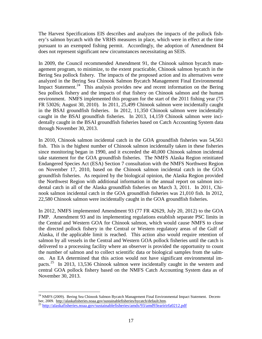The Harvest Specifications EIS describes and analyzes the impacts of the pollock fishery's salmon bycatch with the VRHS measures in place, which were in effect at the time pursuant to an exempted fishing permit. Accordingly, the adoption of Amendment 84 does not represent significant new circumstances necessitating an SEIS.

In 2009, the Council recommended Amendment 91, the Chinook salmon bycatch management program, to minimize, to the extent practicable, Chinook salmon bycatch in the Bering Sea pollock fishery. The impacts of the proposed action and its alternatives were analyzed in the Bering Sea Chinook Salmon Bycatch Management Final Environmental Impact Statement.<sup>24</sup> This analysis provides new and recent information on the Bering Sea pollock fishery and the impacts of that fishery on Chinook salmon and the human environment. NMFS implemented this program for the start of the 2011 fishing year (75 FR 53026; August 30, 2010). In 2011, 25,499 Chinook salmon were incidentally caught in the BSAI groundfish fisheries. In 2012, 11,350 Chinook salmon were incidentally caught in the BSAI groundfish fisheries. In 2013, 14,159 Chinook salmon were incidentally caught in the BSAI groundfish fisheries based on Catch Accounting System data through November 30, 2013.

In 2010, Chinook salmon incidental catch in the GOA groundfish fisheries was 54,561 fish. This is the highest number of Chinook salmon incidentally taken in these fisheries since monitoring began in 1990, and it exceeded the 40,000 Chinook salmon incidental take statement for the GOA groundfish fisheries. The NMFS Alaska Region reinitiated Endangered Species Act (ESA) Section 7 consultation with the NMFS Northwest Region on November 17, 2010, based on the Chinook salmon incidental catch in the GOA groundfish fisheries. As required by the biological opinion, the Alaska Region provided the Northwest Region with additional information in the annual report on salmon incidental catch in all of the Alaska groundfish fisheries on March 3, 2011. In 2011, Chinook salmon incidental catch in the GOA groundfish fisheries was 21,010 fish. In 2012, 22,580 Chinook salmon were incidentally caught in the GOA groundfish fisheries.

In 2012, NMFS implemented Amendment 93 (77 FR 42629, July 20, 2012) to the GOA FMP. Amendment 93 and its implementing regulations establish separate PSC limits in the Central and Western GOA for Chinook salmon, which would cause NMFS to close the directed pollock fishery in the Central or Western regulatory areas of the Gulf of Alaska, if the applicable limit is reached. This action also would require retention of salmon by all vessels in the Central and Western GOA pollock fisheries until the catch is delivered to a processing facility where an observer is provided the opportunity to count the number of salmon and to collect scientific data or biological samples from the salmon. An EA determined that this action would not have significant environmental im-pacts.<sup>[25](#page-18-1)</sup> In 2013, 13,536 Chinook salmon were incidentally caught in the western and central GOA pollock fishery based on the NMFS Catch Accounting System data as of November 30, 2013.

<span id="page-18-0"></span> $^{24}$  NMFS (2009). Bering Sea Chinook Salmon Bycatch Management Final Environmental Impact Statement. December, 2009. http://alaskafisheries.noaa.gov/sustainablefisheries/bycatch/default.htm.<br><sup>25</sup> <http://alaskafisheries.noaa.gov/sustainablefisheries/amds/93/amd93earirirfa0212.pdf>  $\overline{a}$ 

<span id="page-18-1"></span>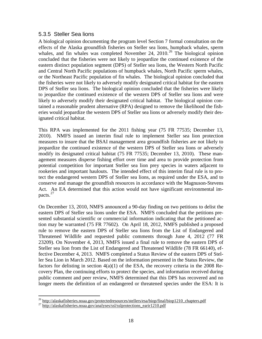#### <span id="page-19-0"></span>5.3.5 Steller Sea lions

A biological opinion documenting the program level Section 7 formal consultation on the effects of the Alaska groundfish fisheries on Steller sea lions, humpback whales, sperm whales, and fin whales was completed November 24,  $2010<sup>26</sup>$  $2010<sup>26</sup>$  $2010<sup>26</sup>$  The biological opinion concluded that the fisheries were not likely to jeopardize the continued existence of the eastern distinct population segment (DPS) of Steller sea lions, the Western North Pacific and Central North Pacific populations of humpback whales, North Pacific sperm whales, or the Northeast Pacific population of fin whales. The biological opinion concluded that the fisheries were not likely to adversely modify designated critical habitat for the eastern DPS of Steller sea lions. The biological opinion concluded that the fisheries were likely to jeopardize the continued existence of the western DPS of Steller sea lions and were likely to adversely modify their designated critical habitat. The biological opinion contained a reasonable prudent alternative (RPA) designed to remove the likelihood the fisheries would jeopardize the western DPS of Steller sea lions or adversely modify their designated critical habitat.

This RPA was implemented for the 2011 fishing year (75 FR 77535; December 13, 2010). NMFS issued an interim final rule to implement Steller sea lion protection measures to insure that the BSAI management area groundfish fisheries are not likely to jeopardize the continued existence of the western DPS of Steller sea lions or adversely modify its designated critical habitat (75 FR 77535; December 13, 2010). These management measures disperse fishing effort over time and area to provide protection from potential competition for important Steller sea lion prey species in waters adjacent to rookeries and important haulouts. The intended effect of this interim final rule is to protect the endangered western DPS of Steller sea lions, as required under the ESA, and to conserve and manage the groundfish resources in accordance with the Magnuson-Stevens Act. An EA determined that this action would not have significant environmental im-pacts.<sup>[27](#page-19-2)</sup>

On December 13, 2010, NMFS announced a 90-day finding on two petitions to delist the eastern DPS of Steller sea lions under the ESA. NMFS concluded that the petitions presented substantial scientific or commercial information indicating that the petitioned action may be warranted (75 FR 77602). On April 18, 2012, NMFS published a proposed rule to remove the eastern DPS of Steller sea lions from the List of Endangered and Threatened Wildlife and requested public comments through June 4, 2012 (77 FR 23209). On November 4, 2013, NMFS issued a final rule to remove the eastern DPS of Steller sea lion from the List of Endangered and Threatened Wildlife (78 FR 66140), effective December 4, 2013. NMFS completed a Status Review of the eastern DPS of Steller Sea Lion in March 2012. Based on the information presented in the Status Review, the factors for delisting in section  $4(a)(1)$  of the ESA, the recovery criteria in the 2008 Recovery Plan, the continuing efforts to protect the species, and information received during public comment and peer review, NMFS determined that this DPS has recovered and no longer meets the definition of an endangered or threatened species under the ESA: It is

<span id="page-19-1"></span><sup>&</sup>lt;sup>26</sup> http://alaskafisheries.noaa.gov/protectedresources/stellers/esa/biop/final/biop1210\_chapters.pdf<br><sup>27</sup> http://alaskafisheries.noaa.gov/analyses/ssl/sslprotections\_earir1210.pdf  $\overline{a}$ 

<span id="page-19-2"></span>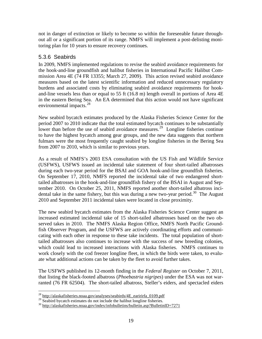not in danger of extinction or likely to become so within the foreseeable future throughout all or a significant portion of its range. NMFS will implement a post-delisting monitoring plan for 10 years to ensure recovery continues.

#### <span id="page-20-0"></span>5.3.6 Seabirds

In 2009, NMFS implemented regulations to revise the seabird avoidance requirements for the hook-and-line groundfish and halibut fisheries in International Pacific Halibut Commission Area 4E (74 FR 13355; March 27, 2009). This action revised seabird avoidance measures based on the latest scientific information and reduced unnecessary regulatory burdens and associated costs by eliminating seabird avoidance requirements for hookand-line vessels less than or equal to 55 ft (16.8 m) length overall in portions of Area 4E in the eastern Bering Sea. An EA determined that this action would not have significant environmental impacts.<sup>[28](#page-20-1)</sup>

New seabird bycatch estimates produced by the Alaska Fisheries Science Center for the period 2007 to 2010 indicate that the total estimated bycatch continues to be substantially lower than before the use of seabird avoidance measures.<sup>29</sup> Longline fisheries continue to have the highest bycatch among gear groups, and the new data suggests that northern fulmars were the most frequently caught seabird by longline fisheries in the Bering Sea from 2007 to 2010, which is similar to previous years.

As a result of NMFS's 2003 ESA consultation with the US Fish and Wildlife Service (USFWS), USFWS issued an incidental take statement of four short-tailed albatrosses during each two-year period for the BSAI and GOA hook-and-line groundfish fisheries. On September 17, 2010, NMFS reported the incidental take of two endangered shorttailed albatrosses in the hook-and-line groundfish fishery of the BSAI in August and September 2010. On October 25, 2011, NMFS reported another short-tailed albatross inci-dental take in the same fishery, but this was during a new two-year period.<sup>[30](#page-20-3)</sup> The August 2010 and September 2011 incidental takes were located in close proximity.

The new seabird bycatch estimates from the Alaska Fisheries Science Center suggest an increased estimated incidental take of 15 short-tailed albatrosses based on the two observed takes in 2010. The NMFS Alaska Region Office, NMFS North Pacific Groundfish Observer Program, and the USFWS are actively coordinating efforts and communicating with each other in response to these take incidents. The total population of shorttailed albatrosses also continues to increase with the success of new breeding colonies, which could lead to increased interactions with Alaska fisheries. NMFS continues to work closely with the cod freezer longline fleet, in which the birds were taken, to evaluate what additional actions can be taken by the fleet to avoid further takes.

The USFWS published its 12-month finding in the *Federal Register* on October 7, 2011, that listing the black-footed albatross (*Phoebastria nigripes*) under the ESA was not warranted (76 FR 62504). The short-tailed albatross, Steller's eiders, and spectacled eiders

<sup>&</sup>lt;sup>28</sup> http://alaskafisheries.noaa.gov/analyses/seabirds/4E\_earirirfa\_0109.pdf  $\overline{a}$ 

<span id="page-20-3"></span><span id="page-20-2"></span><span id="page-20-1"></span><sup>29&</sup>lt;br>
29 Seabird bycatch estimates do not include the halibut longline fisheries.<br>
30 http://alaskafisheries.noaa.gov/index/infobulletins/bulletin.asp?BulletinID=7271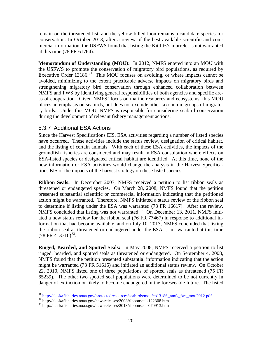remain on the threatened list, and the yellow-billed loon remains a candidate species for conservation. In October 2013, after a review of the best available scientific and commercial information, the USFWS found that listing the Kittlitz's murrelet is not warranted at this time (78 FR 61764).

**Memorandum of Understanding (MOU):** In 2012, NMFS entered into an MOU with the USFWS to promote the conservation of migratory bird populations, as required by Executive Order  $13186$ <sup>31</sup> This MOU focuses on avoiding, or where impacts cannot be avoided, minimizing to the extent practicable adverse impacts on migratory birds and strengthening migratory bird conservation through enhanced collaboration between NMFS and FWS by identifying general responsibilities of both agencies and specific areas of cooperation. Given NMFS' focus on marine resources and ecosystems, this MOU places an emphasis on seabirds, but does not exclude other taxonomic groups of migratory birds. Under this MOU, NMFS is responsible for considering seabird conservation during the development of relevant fishery management actions.

#### <span id="page-21-0"></span>5.3.7 Additional ESA Actions

Since the Harvest Specifications EIS, ESA activities regarding a number of listed species have occurred. These activities include the status review, designation of critical habitat, and the listing of certain animals. With each of these ESA activities, the impacts of the groundfish fisheries are considered and may result in ESA consultation where effects on ESA-listed species or designated critical habitat are identified. At this time, none of the new information or ESA activities would change the analysis in the Harvest Specifications EIS of the impacts of the harvest strategy on these listed species.

 $(78 \text{ FR } 413710)^{33}$  $(78 \text{ FR } 413710)^{33}$  $(78 \text{ FR } 413710)^{33}$ . **Ribbon Seals:** In December 2007, NMFS received a petition to list ribbon seals as threatened or endangered species. On March 28, 2008, NMFS found that the petition presented substantial scientific or commercial information indicating that the petitioned action might be warranted. Therefore, NMFS initiated a status review of the ribbon seal to determine if listing under the ESA was warranted (73 FR 16617). After the review, NMFS concluded that listing was not warranted.<sup>[32](#page-21-2)</sup> On December 13, 2011, NMFS initiated a new status review for the ribbon seal (76 FR 77467) in response to additional information that had become available, and on July 10, 2013, NMFS concluded that listing the ribbon seal as threatened or endangered under the ESA is not warranted at this time

**Ringed, Bearded, and Spotted Seals:** In May 2008, NMFS received a petition to list ringed, bearded, and spotted seals as threatened or endangered. On September 4, 2008, NMFS found that the petition presented substantial information indicating that the action might be warranted (73 FR 51615) and initiated an additional status review. On October 22, 2010, NMFS listed one of three populations of spotted seals as threatened (75 FR 65239). The other two spotted seal populations were determined to be not currently in danger of extinction or likely to become endangered in the foreseeable future. The listed

<sup>&</sup>lt;sup>31</sup>[http://alaskafisheries.noaa.gov/protectedresources/seabirds/mou/eo13186\\_nmfs\\_fws\\_mou2012.pdf](http://alaskafisheries.noaa.gov/protectedresources/seabirds/mou/eo13186_nmfs_fws_mou2012.pdf)<br><sup>32</sup>http://alaskafisheries.noaa.gov/newsreleases/2008/ribbonseals122308.htm<br><sup>33</sup>http://alaskafisheries.noaa.gov/newsreleases/  $\overline{a}$ 

<span id="page-21-2"></span><span id="page-21-1"></span>

<span id="page-21-3"></span>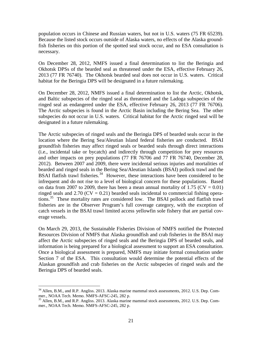population occurs in Chinese and Russian waters, but not in U.S. waters (75 FR 65239). Because the listed stock occurs outside of Alaska waters, no effects of the Alaska groundfish fisheries on this portion of the spotted seal stock occur, and no ESA consultation is necessary.

On December 28, 2012, NMFS issued a final determination to list the Beringia and Okhotsk DPSs of the bearded seal as threatened under the ESA, effective February 26, 2013 (77 FR 76740). The Okhotsk bearded seal does not occur in U.S. waters. Critical habitat for the Beringia DPS will be designated in a future rulemaking.

On December 28, 2012, NMFS issued a final determination to list the Arctic, Okhotsk, and Baltic subspecies of the ringed seal as threatened and the Ladoga subspecies of the ringed seal as endangered under the ESA, effective February 26, 2013 (77 FR 76706). The Arctic subspecies is found in the Arctic Basin including the Bering Sea. The other subspecies do not occur in U.S. waters. Critical habitat for the Arctic ringed seal will be designated in a future rulemaking.

The Arctic subspecies of ringed seals and the Beringia DPS of bearded seals occur in the location where the Bering Sea/Aleutian Island federal fisheries are conducted. BSAI groundfish fisheries may affect ringed seals or bearded seals through direct interactions (i.e., incidental take or bycatch) and indirectly through competition for prey resources and other impacts on prey populations (77 FR 76706 and 77 FR 76740, December 28, 2012). Between 2007 and 2009, there were incidental serious injuries and mortalities of bearded and ringed seals in the Bering Sea/Aleutian Islands (BSAI) pollock trawl and the BSAI flatfish trawl fisheries.<sup>[34](#page-22-0)</sup> However, these interactions have been considered to be infrequent and do not rise to a level of biological concern for these populations. Based on data from 2007 to 2009, there has been a mean annual mortality of 1.75 ( $CV = 0.01$ ) ringed seals and  $2.70$  (CV = 0.21) bearded seals incidental to commercial fishing operations.[35](#page-22-1) These mortality rates are considered low. The BSAI pollock and flatfish trawl fisheries are in the Observer Program's full coverage category, with the exception of catch vessels in the BSAI trawl limited access yellowfin sole fishery that are partial coverage vessels.

On March 29, 2013, the Sustainable Fisheries Division of NMFS notified the Protected Resources Division of NMFS that Alaska groundfish and crab fisheries in the BSAI may affect the Arctic subspecies of ringed seals and the Beringia DPS of bearded seals, and information is being prepared for a biological assessment to support an ESA consultation. Once a biological assessment is prepared, NMFS may initiate formal consultation under Section 7 of the ESA. This consultation would determine the potential effects of the Alaskan groundfish and crab fisheries on the Arctic subspecies of ringed seals and the Beringia DPS of bearded seals.

 $\overline{a}$ 

<span id="page-22-0"></span><sup>&</sup>lt;sup>34</sup> Allen, B.M., and R.P. Angliss. 2013. Alaska marine mammal stock assessments, 2012. U.S. Dep. Commer., NOAA Tech. Memo. NMFS-AFSC-245, 282 p.<br>
<sup>35</sup> Allen, B.M., and R.P. Angliss. 2013. Alaska marine mammal stock assessments, 2012. U.S. Dep. Com-

<span id="page-22-1"></span>mer., NOAA Tech. Memo. NMFS-AFSC-245, 282 p.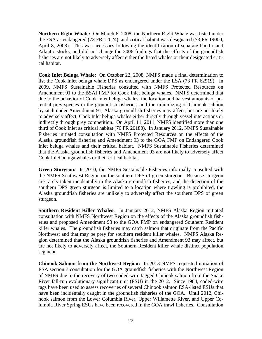**Northern Right Whale:** On March 6, 2008, the Northern Right Whale was listed under the ESA as endangered (73 FR 12024), and critical habitat was designated (73 FR 19000, April 8, 2008). This was necessary following the identification of separate Pacific and Atlantic stocks, and did not change the 2006 findings that the effects of the groundfish fisheries are not likely to adversely affect either the listed whales or their designated critical habitat.

**Cook Inlet Beluga Whale:** On October 22, 2008, NMFS made a final determination to list the Cook Inlet beluga whale DPS as endangered under the ESA (73 FR 62919). In 2009, NMFS Sustainable Fisheries consulted with NMFS Protected Resources on Amendment 91 to the BSAI FMP for Cook Inlet beluga whales. NMFS determined that due to the behavior of Cook Inlet beluga whales, the location and harvest amounts of potential prey species in the groundfish fisheries, and the minimizing of Chinook salmon bycatch under Amendment 91, Alaska groundfish fisheries may affect, but are not likely to adversely affect, Cook Inlet beluga whales either directly through vessel interactions or indirectly through prey competition. On April 11, 2011, NMFS identified more than one third of Cook Inlet as critical habitat (76 FR 20180). In January 2012, NMFS Sustainable Fisheries initiated consultation with NMFS Protected Resources on the effects of the Alaska groundfish fisheries and Amendment 93 to the GOA FMP on Endangered Cook Inlet beluga whales and their critical habitat. NMFS Sustainable Fisheries determined that the Alaska groundfish fisheries and Amendment 93 are not likely to adversely affect Cook Inlet beluga whales or their critical habitat.

**Green Sturgeon:** In 2010, the NMFS Sustainable Fisheries informally consulted with the NMFS Southwest Region on the southern DPS of green sturgeon. Because sturgeon are rarely taken incidentally in the Alaska groundfish fisheries, and the detection of the southern DPS green sturgeon is limited to a location where trawling is prohibited, the Alaska groundfish fisheries are unlikely to adversely affect the southern DPS of green sturgeon.

**Southern Resident Killer Whales:** In January 2012, NMFS Alaska Region initiated consultation with NMFS Northwest Region on the effects of the Alaska groundfish fisheries and proposed Amendment 93 to the GOA FMP on endangered Southern Resident killer whales. The groundfish fisheries may catch salmon that originate from the Pacific Northwest and that may be prey for southern resident killer whales. NMFS Alaska Region determined that the Alaska groundfish fisheries and Amendment 93 may affect, but are not likely to adversely affect, the Southern Resident killer whale distinct population segment.

**Chinook Salmon from the Northwest Region:** In 2013 NMFS requested initiation of ESA section 7 consultation for the GOA groundfish fisheries with the Northwest Region of NMFS due to the recovery of two coded-wire tagged Chinook salmon from the Snake River fall-run evolutionary significant unit (ESU) in the 2012. Since 1984, coded-wire tags have been used to assess recoveries of several Chinook salmon ESA-listed ESUs that have been incidentally caught in the groundfish fisheries of the GOA. Until 2012, Chinook salmon from the Lower Columbia River, Upper Willamette River, and Upper Columbia River Spring ESUs have been recovered in the GOA trawl fisheries. Consultation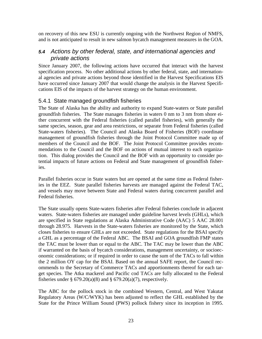on recovery of this new ESU is currently ongoing with the Northwest Region of NMFS, and is not anticipated to result in new salmon bycatch management measures in the GOA.

#### <span id="page-24-0"></span>*5.4 Actions by other federal, state, and international agencies and private actions*

Since January 2007, the following actions have occurred that interact with the harvest specification process. No other additional actions by other federal, state, and international agencies and private actions beyond those identified in the Harvest Specifications EIS have occurred since January 2007 that would change the analysis in the Harvest Specifications EIS of the impacts of the harvest strategy on the human environment.

#### <span id="page-24-1"></span>5.4.1 State managed groundfish fisheries

The State of Alaska has the ability and authority to expand State-waters or State parallel groundfish fisheries. The State manages fisheries in waters 0 nm to 3 nm from shore either concurrent with the Federal fisheries (called parallel fisheries), with generally the same species, season, gear and area restrictions, or separate from Federal fisheries (called State-waters fisheries). The Council and Alaska Board of Fisheries (BOF) coordinate management of groundfish fisheries through the Joint Protocol Committee made up of members of the Council and the BOF. The Joint Protocol Committee provides recommendations to the Council and the BOF on actions of mutual interest to each organization. This dialog provides the Council and the BOF with an opportunity to consider potential impacts of future actions on Federal and State management of groundfish fisheries.

Parallel fisheries occur in State waters but are opened at the same time as Federal fisheries in the EEZ. State parallel fisheries harvests are managed against the Federal TAC, and vessels may move between State and Federal waters during concurrent parallel and Federal fisheries.

The State usually opens State-waters fisheries after Federal fisheries conclude in adjacent waters. State-waters fisheries are managed under guideline harvest levels (GHLs), which are specified in State regulations at Alaska Administrative Code (AAC) 5 AAC 28.001 through 28.975. Harvests in the State-waters fisheries are monitored by the State, which closes fisheries to ensure GHLs are not exceeded. State regulations for the BSAI specify a GHL as a percentage of the Federal ABC. The BSAI and GOA groundfish FMP states the TAC must be lower than or equal to the ABC. The TAC may be lower than the ABC if warranted on the basis of bycatch considerations, management uncertainty, or socioeconomic considerations; or if required in order to cause the sum of the TACs to fall within the 2 million OY cap for the BSAI. Based on the annual SAFE report, the Council recommends to the Secretary of Commerce TACs and apportionments thereof for each target species. The Atka mackerel and Pacific cod TACs are fully allocated to the Federal fisheries under  $\S 679.20(a)(8)$  and  $\S 679.20(a)(7)$ , respectively.

The ABC for the pollock stock in the combined Western, Central, and West Yakutat Regulatory Areas (W/C/WYK) has been adjusted to reflect the GHL established by the State for the Prince William Sound (PWS) pollock fishery since its inception in 1995.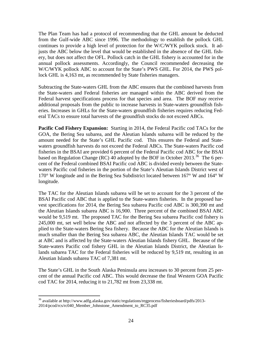The Plan Team has had a protocol of recommending that the GHL amount be deducted from the Gulf-wide ABC since 1996. The methodology to establish the pollock GHL continues to provide a high level of protection for the W/C/WYK pollock stock. It adjusts the ABC below the level that would be established in the absence of the GHL fishery, but does not affect the OFL. Pollock catch in the GHL fishery is accounted for in the annual pollock assessments. Accordingly, the Council recommended decreasing the W/C/WYK pollock ABC to account for the State's PWS GHL. For 2014, the PWS pollock GHL is 4,163 mt, as recommended by State fisheries managers.

Subtracting the State-waters GHL from the ABC ensures that the combined harvests from the State-waters and Federal fisheries are managed within the ABC derived from the Federal harvest specifications process for that species and area. The BOF may receive additional proposals from the public to increase harvests in State-waters groundfish fisheries. Increases in GHLs for the State-waters groundfish fisheries requires reducing Federal TACs to ensure total harvests of the groundfish stocks do not exceed ABCs.

**Pacific Cod Fishery Expansion:** Starting in 2014, the Federal Pacific cod TACs for the GOA, the Bering Sea subarea, and the Aleutian Islands subarea will be reduced by the amount needed for the State's GHL Pacific cod. This ensures the Federal and Statewaters groundfish harvests do not exceed the Federal ABCs. The State-waters Pacific cod fisheries in the BSAI are provided 6 percent of the Federal Pacific cod ABC for the BSAI based on Regulation Change (RC) 40 adopted by the BOF in October 2013.<sup>[36](#page-25-0)</sup> The 6 percent of the Federal combined BSAI Pacific cod ABC is divided evenly between the Statewaters Pacific cod fisheries in the portion of the State's Aleutian Islands District west of 170° W longitude and in the Bering Sea Subdistrict located between 167° W and 164° W longitude.

The TAC for the Aleutian Islands subarea will be set to account for the 3 percent of the BSAI Pacific cod ABC that is applied to the State-waters fisheries. In the proposed harvest specifications for 2014, the Bering Sea subarea Pacific cod ABC is 300,390 mt and the Aleutian Islands subarea ABC is 16,900. Three percent of the combined BSAI ABC would be 9,519 mt. The proposed TAC for the Bering Sea subarea Pacific cod fishery is 245,000 mt, set well below the ABC and not affected by the 3 percent of the ABC applied to the State-waters Bering Sea fishery. Because the ABC for the Aleutian Islands is much smaller than the Bering Sea subarea ABC, the Aleutian Islands TAC would be set at ABC and is affected by the State-waters Aleutian Islands fishery GHL. Because of the State-waters Pacific cod fishery GHL in the Aleutian Islands District, the Aleutian Islands subarea TAC for the Federal fisheries will be reduced by 9,519 mt, resulting in an Aleutian Islands subarea TAC of 7,381 mt.

The State's GHL in the South Alaska Peninsula area increases to 30 percent from 25 percent of the annual Pacific cod ABC. This would decrease the final Western GOA Pacific cod TAC for 2014, reducing it to 21,782 mt from 23,338 mt.

<span id="page-25-0"></span> $36$  available at http://www.adfg.alaska.gov/static/regulations/regprocess/fisheriesboard/pdfs/2013-2014/pcod/rcs/rc040\_Member\_Johnstone\_Amendment\_to\_RC35.pdf  $\overline{a}$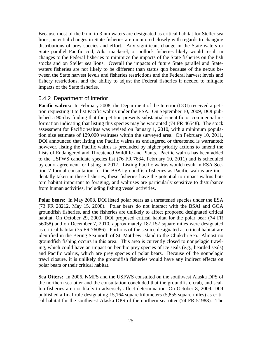Because most of the 0 nm to 3 nm waters are designated as critical habitat for Steller sea lions, potential changes in State fisheries are monitored closely with regards to changing distributions of prey species and effort. Any significant change in the State-waters or State parallel Pacific cod, Atka mackerel, or pollock fisheries likely would result in changes to the Federal fisheries to minimize the impacts of the State fisheries on the fish stocks and on Steller sea lions. Overall the impacts of future State parallel and Statewaters fisheries are not likely to be different than status quo because of the nexus between the State harvest levels and fisheries restrictions and the Federal harvest levels and fishery restrictions, and the ability to adjust the Federal fisheries if needed to mitigate impacts of the State fisheries.

#### <span id="page-26-0"></span>5.4.2 Department of Interior

**Pacific walrus:** In February 2008, the Department of the Interior (DOI) received a petition requesting it to list Pacific walrus under the ESA. On September 10, 2009, DOI published a 90-day finding that the petition presents substantial scientific or commercial information indicating that listing this species may be warranted (74 FR 46548). The stock assessment for Pacific walrus was revised on January 1, 2010, with a minimum population size estimate of 129,000 walruses within the surveyed area. On February 10, 2011, DOI announced that listing the Pacific walrus as endangered or threatened is warranted; however, listing the Pacific walrus is precluded by higher priority actions to amend the Lists of Endangered and Threatened Wildlife and Plants. Pacific walrus has been added to the USFWS candidate species list (76 FR 7634, February 10, 2011) and is scheduled by court agreement for listing in 2017. Listing Pacific walrus would result in ESA Section 7 formal consultation for the BSAI groundfish fisheries as Pacific walrus are incidentally taken in these fisheries, these fisheries have the potential to impact walrus bottom habitat important to foraging, and walruses are particularly sensitive to disturbance from human activities, including fishing vessel activities.

**Polar bears:** In May 2008, DOI listed polar bears as a threatened species under the ESA (73 FR 28212, May 15, 2008). Polar bears do not interact with the BSAI and GOA groundfish fisheries, and the fisheries are unlikely to affect proposed designated critical habitat. On October 29, 2009, DOI proposed critical habitat for the polar bear (74 FR 56058) and on December 7, 2010, approximately 187,157 square miles were designated as critical habitat (75 FR 76086). Portions of the sea ice designated as critical habitat are identified in the Bering Sea north of St. Matthew Island to the Chukchi Sea. Almost no groundfish fishing occurs in this area. This area is currently closed to nonpelagic trawling, which could have an impact on benthic prey species of ice seals (e.g., bearded seals) and Pacific walrus, which are prey species of polar bears. Because of the nonpelagic trawl closure, it is unlikely the groundfish fisheries would have any indirect effects on polar bears or their critical habitat.

**Sea Otters:** In 2006, NMFS and the USFWS consulted on the southwest Alaska DPS of the northern sea otter and the consultation concluded that the groundfish, crab, and scallop fisheries are not likely to adversely affect determination. On October 8, 2009, DOI published a final rule designating 15,164 square kilometers (5,855 square miles) as critical habitat for the southwest Alaska DPS of the northern sea otter (74 FR 51988). The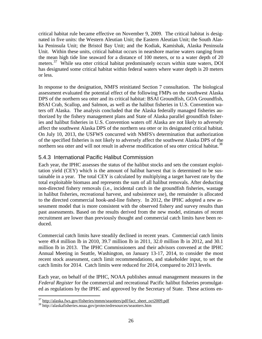critical habitat rule became effective on November 9, 2009. The critical habitat is designated in five units: the Western Aleutian Unit; the Eastern Aleutian Unit; the South Alaska Peninsula Unit; the Bristol Bay Unit; and the Kodiak, Kamishak, Alaska Peninsula Unit. Within these units, critical habitat occurs in nearshore marine waters ranging from the mean high tide line seaward for a distance of 100 meters, or to a water depth of 20 meters.<sup>37</sup> While sea otter critical habitat predominately occurs within state waters, DOI has designated some critical habitat within federal waters where water depth is 20 meters or less.

In response to the designation, NMFS reinitiated Section 7 consultation. The biological assessment evaluated the potential effect of the following FMPs on the southwest Alaska DPS of the northern sea otter and its critical habitat: BSAI Groundfish, GOA Groundfish, BSAI Crab, Scallop, and Salmon, as well as the halibut fisheries in U.S. Convention waters off Alaska. The analysis concluded that the Alaska federally managed fisheries authorized by the fishery management plans and State of Alaska parallel groundfish fisheries and halibut fisheries in U.S. Convention waters off Alaska are not likely to adversely affect the southwest Alaska DPS of the northern sea otter or its designated critical habitat. On July 10, 2013, the USFWS concurred with NMFS's determination that authorization of the specified fisheries is not likely to adversely affect the southwest Alaska DPS of the northern sea otter and will not result in adverse modification of sea otter critical habitat.<sup>[38](#page-27-2)</sup>

#### <span id="page-27-0"></span>5.4.3 International Pacific Halibut Commission

Each year, the IPHC assesses the status of the halibut stocks and sets the constant exploitation yield (CEY) which is the amount of halibut harvest that is determined to be sustainable in a year. The total CEY is calculated by multiplying a target harvest rate by the total exploitable biomass and represents the sum of all halibut removals. After deducting non-directed fishery removals (i.e., incidental catch in the groundfish fisheries, wastage in halibut fisheries, recreational harvest, and subsistence use), the remainder is allocated to the directed commercial hook-and-line fishery. In 2012, the IPHC adopted a new assessment model that is more consistent with the observed fishery and survey results than past assessments. Based on the results derived from the new model, estimates of recent recruitment are lower than previously thought and commercial catch limits have been reduced.

Commercial catch limits have steadily declined in recent years. Commercial catch limits were 49.4 million lb in 2010, 39.7 million lb in 2011, 32.0 million lb in 2012, and 30.1 million lb in 2013. The IPHC Commissioners and their advisors convened at the IPHC Annual Meeting in Seattle, Washington, on January 13-17, 2014, to consider the most recent stock assessment, catch limit recommendations, and stakeholder input, to set the catch limits for 2014. Catch limits were reduced for 2014, compared to 2013 levels.

Each year, on behalf of the IPHC, NOAA publishes annual management measures in the *Federal Register* for the commercial and recreational Pacific halibut fisheries promulgated as regulations by the IPHC and approved by the Secretary of State. These actions en-

 $\overline{a}$ 

<span id="page-27-1"></span><sup>&</sup>lt;sup>37</sup> http://alaska.fws.gov/fisheries/mmm/seaotters/pdf/fact\_sheet\_oct2009.pdf<br><sup>38</sup> http://alaskafisheries.noaa.gov/protectedresources/seaotters.htm

<span id="page-27-2"></span>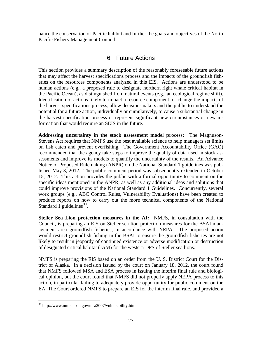hance the conservation of Pacific halibut and further the goals and objectives of the North Pacific Fishery Management Council.

#### 6 Future Actions

<span id="page-28-0"></span>This section provides a summary description of the reasonably foreseeable future actions that may affect the harvest specifications process and the impacts of the groundfish fisheries on the resources components analyzed in this EIS. Actions are understood to be human actions (e.g., a proposed rule to designate northern right whale critical habitat in the Pacific Ocean), as distinguished from natural events (e.g., an ecological regime shift). Identification of actions likely to impact a resource component, or change the impacts of the harvest specifications process, allow decision-makers and the public to understand the potential for a future action, individually or cumulatively, to cause a substantial change in the harvest specification process or represent significant new circumstances or new information that would require an SEIS in the future.

Standard 1 guidelines<sup>[39](#page-28-1)</sup>. **Addressing uncertainty in the stock assessment model process:** The Magnuson-Stevens Act requires that NMFS use the best available science to help managers set limits on fish catch and prevent overfishing. The Government Accountability Office (GAO) recommended that the agency take steps to improve the quality of data used in stock assessments and improve its models to quantify the uncertainty of the results. An Advance Notice of Proposed Rulemaking (ANPR) on the National Standard 1 guidelines was published May 3, 2012. The public comment period was subsequently extended to October 15, 2012. This action provides the public with a formal opportunity to comment on the specific ideas mentioned in the ANPR, as well as any additional ideas and solutions that could improve provisions of the National Standard 1 Guidelines. Concurrently, several work groups (e.g., ABC Control Rules, Vulnerability Evaluations) have been created to produce reports on how to carry out the more technical components of the National

**Steller Sea Lion protection measures in the AI:** NMFS, in consultation with the Council, is preparing an EIS on Steller sea lion protection measures for the BSAI management area groundfish fisheries, in accordance with NEPA. The proposed action would restrict groundfish fishing in the BSAI to ensure the groundfish fisheries are not likely to result in jeopardy of continued existence or adverse modification or destruction of designated critical habitat (JAM) for the western DPS of Steller sea lions.

NMFS is preparing the EIS based on an order from the U. S. District Court for the District of Alaska. In a decision issued by the court on January 18, 2012, the court found that NMFS followed MSA and ESA process in issuing the interim final rule and biological opinion, but the court found that NMFS did not properly apply NEPA process to this action, in particular failing to adequately provide opportunity for public comment on the EA. The Court ordered NMFS to prepare an EIS for the interim final rule, and provided a

 $\overline{a}$ 

<span id="page-28-1"></span><sup>39</sup> http://www.nmfs.noaa.gov/msa2007/vulnerability.htm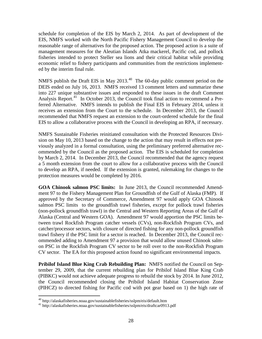schedule for completion of the EIS by March 2, 2014. As part of development of the EIS, NMFS worked with the North Pacific Fishery Management Council to develop the reasonable range of alternatives for the proposed action. The proposed action is a suite of management measures for the Aleutian Islands Atka mackerel, Pacific cod, and pollock fisheries intended to protect Steller sea lions and their critical habitat while providing economic relief to fishery participants and communities from the restrictions implemented by the interim final rule.

NMFS publish the Draft EIS in May 2013.<sup>40</sup> The 60-day public comment period on the DEIS ended on July 16, 2013. NMFS received 13 comment letters and summarize these into 227 unique substantive issues and responded to these issues in the draft Comment Analysis Report.<sup>[41](#page-29-1)</sup> In October 2013, the Council took final action to recommend a Preferred Alternative. NMFS intends to publish the Final EIS in February 2014, unless it receives an extension from the Court to the schedule. In December 2013, the Council recommended that NMFS request an extension to the court-ordered schedule for the final EIS to allow a collaborative process with the Council in developing an RPA, if necessary.

NMFS Sustainable Fisheries reinitiated consultation with the Protected Resources Division on May 10, 2013 based on the change to the action that may result in effects not previously analyzed in a formal consultation, using the preliminary preferred alternative recommended by the Council as the proposed action. The EIS is scheduled for completion by March 2, 2014. In December 2013, the Council recommended that the agency request a 5 month extension from the court to allow for a collaborative process with the Council to develop an RPA, if needed. If the extension is granted, rulemaking for changes to the protection measures would be completed by 2016.

**GOA Chinook salmon PSC limits:** In June 2013, the Council recommended Amendment 97 to the Fishery Management Plan for Groundfish of the Gulf of Alaska (FMP). If approved by the Secretary of Commerce, Amendment 97 would apply GOA Chinook salmon PSC limits to the groundfish trawl fisheries, except for pollock trawl fisheries (non-pollock groundfish trawl) in the Central and Western Reporting Areas of the Gulf of Alaska (Central and Western GOA). Amendment 97 would apportion the PSC limits between trawl Rockfish Program catcher vessels (CVs), non-Rockfish Program CVs, and catcher/processor sectors, with closure of directed fishing for any non-pollock groundfish trawl fishery if the PSC limit for a sector is reached. In December 2013, the Council recommended adding to Amendment 97 a provision that would allow unused Chinook salmon PSC in the Rockfish Program CV sector to be roll over to the non-Rockfish Program CV sector. The EA for this proposed action found no significant environmental impacts.

**Pribilof Island Blue King Crab Rebuilding Plan:** NMFS notified the Council on September 29, 2009, that the current rebuilding plan for Pribilof Island Blue King Crab (PIBKC) would not achieve adequate progress to rebuild the stock by 2014. In June 2012, the Council recommended closing the Pribilof Island Habitat Conservation Zone (PIHCZ) to directed fishing for Pacific cod with pot gear based on 1) the high rate of

 $40$  http://alaskafisheries.noaa.gov/sustainablefisheries/sslpm/eis/default.htm

<span id="page-29-1"></span><span id="page-29-0"></span><sup>&</sup>lt;sup>41</sup> http://alaskafisheries.noaa.gov/sustainablefisheries/sslpm/eis/draftcar0913.pdf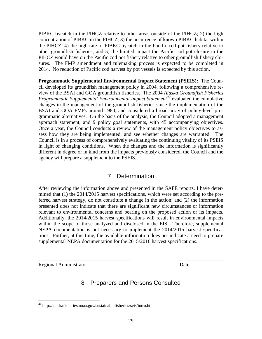PIBKC bycatch in the PIHCZ relative to other areas outside of the PIHCZ; 2) the high concentration of PIBKC in the PIHCZ; 3) the occurrence of known PIBKC habitat within the PIHCZ; 4) the high rate of PIBKC bycatch in the Pacific cod pot fishery relative to other groundfish fisheries; and 5) the limited impact the Pacific cod pot closure in the PIHCZ would have on the Pacific cod pot fishery relative to other groundfish fishery closures. The FMP amendment and rulemaking process is expected to be completed in 2014. No reduction of Pacific cod harvest by pot vessels is expected by this action.

**Programmatic Supplemental Environmental Impact Statement (PSEIS):** The Council developed its groundfish management policy in 2004, following a comprehensive review of the BSAI and GOA groundfish fisheries. The 2004 *Alaska Groundfish Fisheries Programmatic Supplemental Environmental Impact Statement[42](#page-30-2)* evaluated the cumulative changes in the management of the groundfish fisheries since the implementation of the BSAI and GOA FMPs around 1980, and considered a broad array of policy-level programmatic alternatives. On the basis of the analysis, the Council adopted a management approach statement, and 9 policy goal statements, with 45 accompanying objectives. Once a year, the Council conducts a review of the management policy objectives to assess how they are being implemented, and see whether changes are warranted. The Council is in a process of comprehensively evaluating the continuing vitality of its PSEIS in light of changing conditions. When the changes and the information is significantly different in degree or in kind from the impacts previously considered, the Council and the agency will prepare a supplement to the PSEIS.

#### 7 Determination

<span id="page-30-0"></span>After reviewing the information above and presented in the SAFE reports, I have determined that (1) the 2014/2015 harvest specifications, which were set according to the preferred harvest strategy, do not constitute a change in the action; and (2) the information presented does not indicate that there are significant new circumstances or information relevant to environmental concerns and bearing on the proposed action or its impacts. Additionally, the 2014/2015 harvest specifications will result in environmental impacts within the scope of those analyzed and disclosed in the EIS. Therefore, supplemental NEPA documentation is not necessary to implement the 2014/2015 harvest specifications. Further, at this time, the available information does not indicate a need to prepare supplemental NEPA documentation for the 2015/2016 harvest specifications.

<span id="page-30-1"></span>Regional Administrator Date

 $\overline{a}$ 

### 8 Preparers and Persons Consulted

\_\_\_\_\_\_\_\_\_\_\_\_\_\_\_\_\_\_\_\_\_\_\_\_\_\_\_\_\_\_\_\_\_\_\_\_ \_\_\_\_\_\_\_\_\_\_\_\_\_\_\_\_\_\_

<span id="page-30-2"></span><sup>42</sup> http://alaskafisheries.noaa.gov/sustainablefisheries/seis/intro.htm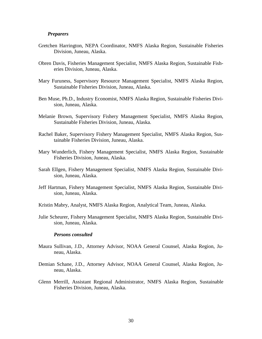#### *Preparers*

- Gretchen Harrington, NEPA Coordinator, NMFS Alaska Region, Sustainable Fisheries Division, Juneau, Alaska.
- Obren Davis, Fisheries Management Specialist, NMFS Alaska Region, Sustainable Fisheries Division, Juneau, Alaska.
- Mary Furuness, Supervisory Resource Management Specialist, NMFS Alaska Region, Sustainable Fisheries Division, Juneau, Alaska.
- Ben Muse, Ph.D., Industry Economist, NMFS Alaska Region, Sustainable Fisheries Division, Juneau, Alaska.
- Melanie Brown, Supervisory Fishery Management Specialist, NMFS Alaska Region, Sustainable Fisheries Division, Juneau, Alaska.
- Rachel Baker, Supervisory Fishery Management Specialist, NMFS Alaska Region, Sustainable Fisheries Division, Juneau, Alaska.
- Mary Wunderlich, Fishery Management Specialist, NMFS Alaska Region, Sustainable Fisheries Division, Juneau, Alaska.
- Sarah Ellgen, Fishery Management Specialist, NMFS Alaska Region, Sustainable Division, Juneau, Alaska.
- Jeff Hartman, Fishery Management Specialist, NMFS Alaska Region, Sustainable Division, Juneau, Alaska.

Kristin Mabry, Analyst, NMFS Alaska Region, Analytical Team, Juneau, Alaska.

Julie Scheurer, Fishery Management Specialist, NMFS Alaska Region, Sustainable Division, Juneau, Alaska.

#### *Persons consulted*

- Maura Sullivan, J.D., Attorney Advisor, NOAA General Counsel, Alaska Region, Juneau, Alaska.
- Demian Schane, J.D., Attorney Advisor, NOAA General Counsel, Alaska Region, Juneau, Alaska.
- Glenn Merrill, Assistant Regional Administrator, NMFS Alaska Region, Sustainable Fisheries Division, Juneau, Alaska.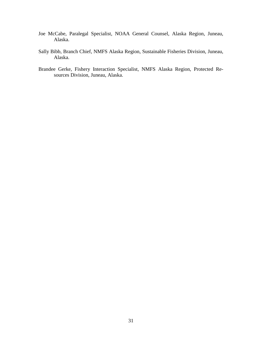- Joe McCabe, Paralegal Specialist, NOAA General Counsel, Alaska Region, Juneau, Alaska.
- Sally Bibb, Branch Chief, NMFS Alaska Region, Sustainable Fisheries Division, Juneau, Alaska.
- Brandee Gerke, Fishery Interaction Specialist, NMFS Alaska Region, Protected Resources Division, Juneau, Alaska.